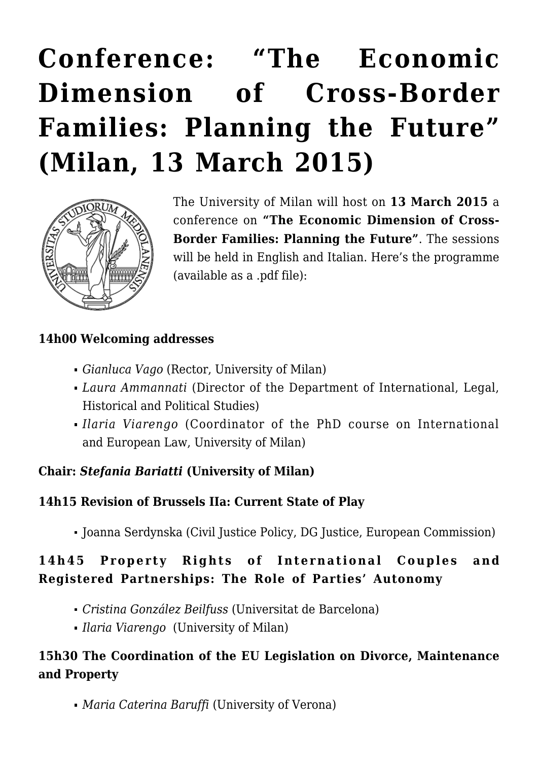# **[Conference: "The Economic](https://conflictoflaws.net/2015/conference-the-economic-dimension-of-cross-border-families-planning-the-future-milan-13-march-2015/) [Dimension of Cross-Border](https://conflictoflaws.net/2015/conference-the-economic-dimension-of-cross-border-families-planning-the-future-milan-13-march-2015/) [Families: Planning the Future"](https://conflictoflaws.net/2015/conference-the-economic-dimension-of-cross-border-families-planning-the-future-milan-13-march-2015/) [\(Milan, 13 March 2015\)](https://conflictoflaws.net/2015/conference-the-economic-dimension-of-cross-border-families-planning-the-future-milan-13-march-2015/)**



The University of Milan will host on **13 March 2015** a conference on **"The Economic Dimension of Cross-Border Families: Planning the Future"**. The sessions will be held in English and Italian. Here's the programme (available as a [.pdf file](http://www.intgiurpol.unimi.it/extfiles/unimidire/79201/attachment/conference-milan-13.3.2015-def.pdf)):

#### **14h00 Welcoming addresses**

- *Gianluca Vago* (Rector, University of Milan)
- *Laura Ammannati* (Director of the Department of International, Legal, Historical and Political Studies)
- *Ilaria Viarengo* (Coordinator of the PhD course on International and European Law, University of Milan)

#### **Chair:** *Stefania Bariatti* **(University of Milan)**

#### **14h15 Revision of Brussels IIa: Current State of Play**

Joanna Serdynska (Civil Justice Policy, DG Justice, European Commission)

# **14h45 Property Rights of International Couples and Registered Partnerships: The Role of Parties' Autonomy**

- *Cristina González Beilfuss* (Universitat de Barcelona)
- *Ilaria Viarengo* (University of Milan)

#### **15h30 The Coordination of the EU Legislation on Divorce, Maintenance and Property**

*Maria Caterina Baruffi* (University of Verona)